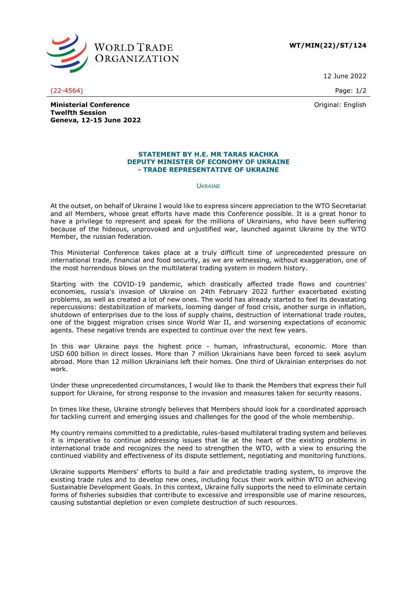

**WT/MIN(22)/ST/124**

12 June 2022

(22-4564) Page: 1/2

Original: English

**Ministerial Conference Twelfth Session Geneva, 12-15 June 2022**

## **STATEMENT BY H.E. MR TARAS KACHKA DEPUTY MINISTER OF ECONOMY OF UKRAINE - TRADE REPRESENTATIVE OF UKRAINE**

## **UKRAINE**

At the outset, on behalf of Ukraine I would like to express sincere appreciation to the WTO Secretariat and all Members, whose great efforts have made this Conference possible. It is a great honor to have a privilege to represent and speak for the millions of Ukrainians, who have been suffering because of the hideous, unprovoked and unjustified war, launched against Ukraine by the WTO Member, the russian federation.

This Ministerial Conference takes place at a truly difficult time of unprecedented pressure on international trade, financial and food security, as we are witnessing, without exaggeration, one of the most horrendous blows on the multilateral trading system in modern history.

Starting with the COVID-19 pandemic, which drastically affected trade flows and countries' economies, russia's invasion of Ukraine on 24th February 2022 further exacerbated existing problems, as well as created a lot of new ones. The world has already started to feel its devastating repercussions: destabilization of markets, looming danger of food crisis, another surge in inflation, shutdown of enterprises due to the loss of supply chains, destruction of international trade routes, one of the biggest migration crises since World War II, and worsening expectations of economic agents. These negative trends are expected to continue over the next few years.

In this war Ukraine pays the highest price - human, infrastructural, economic. More than USD 600 billion in direct losses. More than 7 million Ukrainians have been forced to seek asylum abroad. More than 12 million Ukrainians left their homes. One third of Ukrainian enterprises do not work.

Under these unprecedented circumstances, I would like to thank the Members that express their full support for Ukraine, for strong response to the invasion and measures taken for security reasons.

In times like these, Ukraine strongly believes that Members should look for a coordinated approach for tackling current and emerging issues and challenges for the good of the whole membership.

My country remains committed to a predictable, rules-based multilateral trading system and believes it is imperative to continue addressing issues that lie at the heart of the existing problems in international trade and recognizes the need to strengthen the WTO, with a view to ensuring the continued viability and effectiveness of its dispute settlement, negotiating and monitoring functions.

Ukraine supports Members' efforts to build a fair and predictable trading system, to improve the existing trade rules and to develop new ones, including focus their work within WTO on achieving Sustainable Development Goals. In this context, Ukraine fully supports the need to eliminate certain forms of fisheries subsidies that contribute to excessive and irresponsible use of marine resources, causing substantial depletion or even complete destruction of such resources.